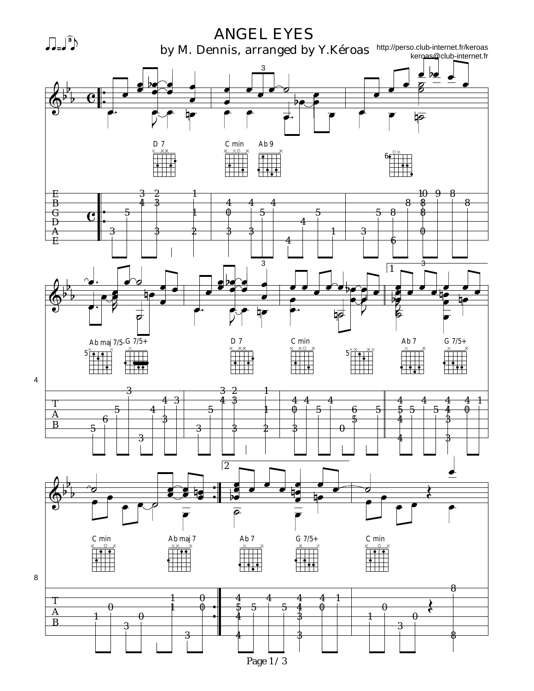

4

8

Page 1 / 3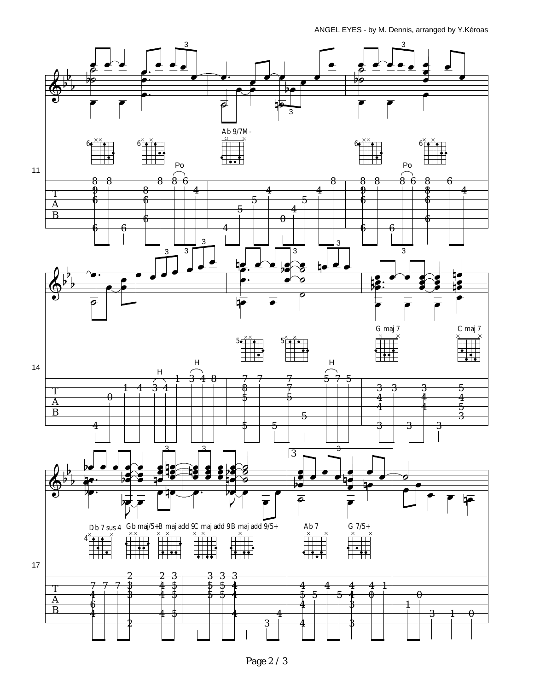ANGEL EYES - by M. Dennis, arranged by Y.Kéroas